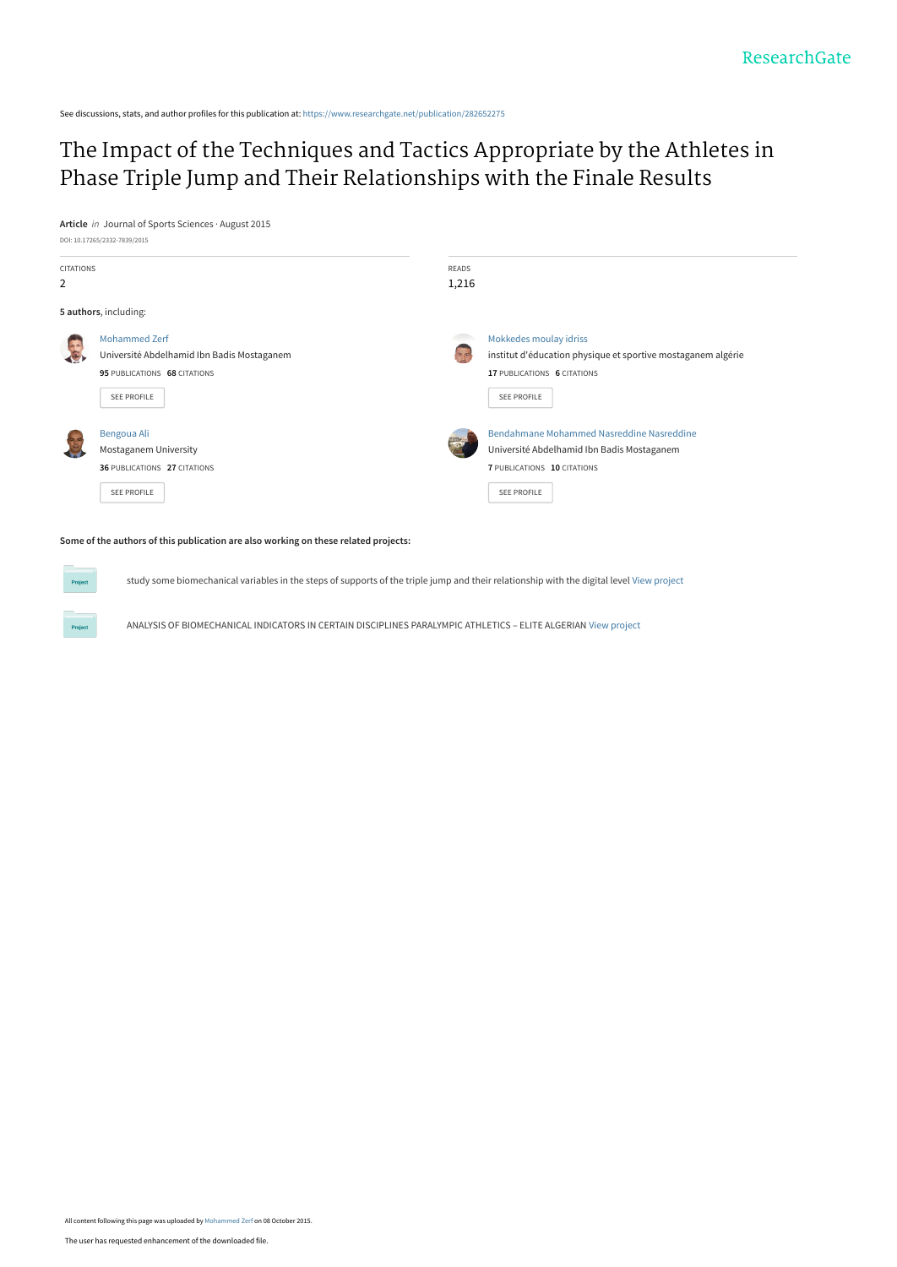See discussions, stats, and author profiles for this publication at: [https://www.researchgate.net/publication/282652275](https://www.researchgate.net/publication/282652275_The_Impact_of_the_Techniques_and_Tactics_Appropriate_by_the_Athletes_in_Phase_Triple_Jump_and_Their_Relationships_with_the_Finale_Results?enrichId=rgreq-d5272c0ea6a2c874efbb31bb71c0eb38-XXX&enrichSource=Y292ZXJQYWdlOzI4MjY1MjI3NTtBUzoyODIxNTg2MjAwMDQzNjZAMTQ0NDI4MzI2NTk1NQ%3D%3D&el=1_x_2&_esc=publicationCoverPdf)

## [The Impact of the Techniques and Tactics Appropriate by the Athletes in](https://www.researchgate.net/publication/282652275_The_Impact_of_the_Techniques_and_Tactics_Appropriate_by_the_Athletes_in_Phase_Triple_Jump_and_Their_Relationships_with_the_Finale_Results?enrichId=rgreq-d5272c0ea6a2c874efbb31bb71c0eb38-XXX&enrichSource=Y292ZXJQYWdlOzI4MjY1MjI3NTtBUzoyODIxNTg2MjAwMDQzNjZAMTQ0NDI4MzI2NTk1NQ%3D%3D&el=1_x_3&_esc=publicationCoverPdf) Phase Triple Jump and Their Relationships with the Finale Results

**Article** in Journal of Sports Sciences · August 2015 DOI: 10.17265/2332-7839/2015



**Some of the authors of this publication are also working on these related projects:**

study some biomechanical variables in the steps of supports of the triple jump and their relationship with the digital level [View project](https://www.researchgate.net/project/study-some-biomechanical-variables-in-the-steps-of-supports-of-the-triple-jump-and-their-relationship-with-the-digital-level?enrichId=rgreq-d5272c0ea6a2c874efbb31bb71c0eb38-XXX&enrichSource=Y292ZXJQYWdlOzI4MjY1MjI3NTtBUzoyODIxNTg2MjAwMDQzNjZAMTQ0NDI4MzI2NTk1NQ%3D%3D&el=1_x_9&_esc=publicationCoverPdf)

ANALYSIS OF BIOMECHANICAL INDICATORS IN CERTAIN DISCIPLINES PARALYMPIC ATHLETICS – ELITE ALGERIAN [View project](https://www.researchgate.net/project/ANALYSIS-OF-BIOMECHANICAL-INDICATORS-IN-CERTAIN-DISCIPLINES-PARALYMPIC-ATHLETICS-ELITE-ALGERIAN?enrichId=rgreq-d5272c0ea6a2c874efbb31bb71c0eb38-XXX&enrichSource=Y292ZXJQYWdlOzI4MjY1MjI3NTtBUzoyODIxNTg2MjAwMDQzNjZAMTQ0NDI4MzI2NTk1NQ%3D%3D&el=1_x_9&_esc=publicationCoverPdf)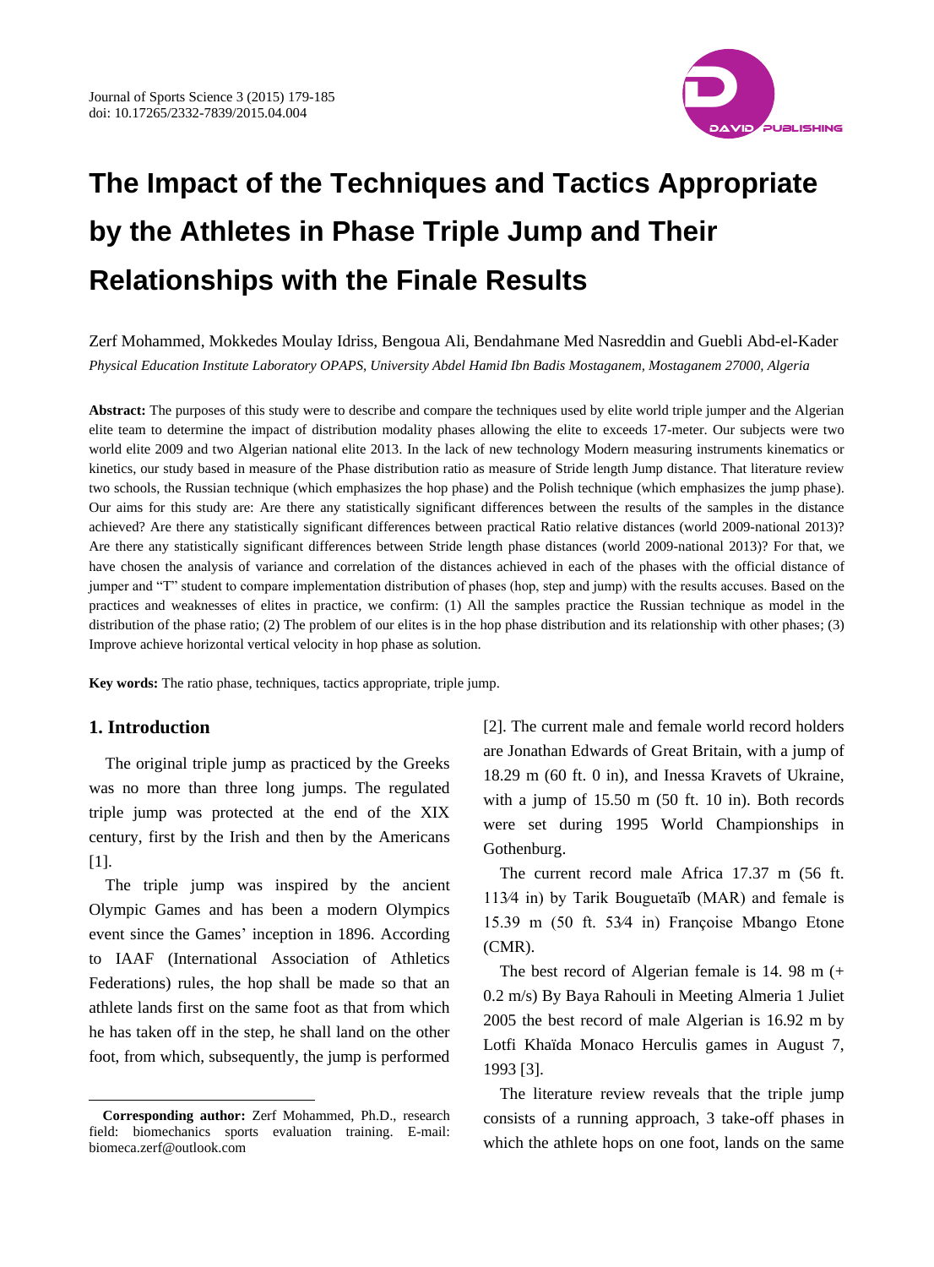

Zerf Mohammed, Mokkedes Moulay Idriss, Bengoua Ali, Bendahmane Med Nasreddin and Guebli Abd-el-Kader *Physical Education Institute Laboratory OPAPS, University Abdel Hamid Ibn Badis Mostaganem, Mostaganem 27000, Algeria*

**Abstract:** The purposes of this study were to describe and compare the techniques used by elite world triple jumper and the Algerian elite team to determine the impact of distribution modality phases allowing the elite to exceeds 17-meter. Our subjects were two world elite 2009 and two Algerian national elite 2013. In the lack of new technology Modern measuring instruments kinematics or kinetics, our study based in measure of the Phase distribution ratio as measure of Stride length Jump distance. That literature review two schools, the Russian technique (which emphasizes the hop phase) and the Polish technique (which emphasizes the jump phase). Our aims for this study are: Are there any statistically significant differences between the results of the samples in the distance achieved? Are there any statistically significant differences between practical Ratio relative distances (world 2009-national 2013)? Are there any statistically significant differences between Stride length phase distances (world 2009-national 2013)? For that, we have chosen the analysis of variance and correlation of the distances achieved in each of the phases with the official distance of jumper and "T" student to compare implementation distribution of phases (hop, step and jump) with the results accuses. Based on the practices and weaknesses of elites in practice, we confirm: (1) All the samples practice the Russian technique as model in the distribution of the phase ratio; (2) The problem of our elites is in the hop phase distribution and its relationship with other phases; (3) Improve achieve horizontal vertical velocity in hop phase as solution.

**Key words:** The ratio phase, techniques, tactics appropriate, triple jump.

#### **1. Introduction**

 $\overline{a}$ 

The original triple jump as practiced by the Greeks was no more than three long jumps. The regulated triple jump was protected at the end of the XIX century, first by the Irish and then by the Americans [1].

The triple jump was inspired by the ancient Olympic Games and has been a modern Olympics event since the Games' inception in 1896. According to IAAF (International Association of Athletics Federations) rules, the hop shall be made so that an athlete lands first on the same foot as that from which he has taken off in the step, he shall land on the other foot, from which, subsequently, the jump is performed [2]. The current male and female world record holders are Jonathan Edwards of Great Britain, with a jump of 18.29 m (60 ft. 0 in), and Inessa Kravets of Ukraine, with a jump of 15.50 m (50 ft. 10 in). Both records were set during 1995 World Championships in Gothenburg.

The current record male Africa 17.37 m (56 ft. 113⁄4 in) by Tarik Bouguetaïb (MAR) and female is 15.39 m (50 ft. 53⁄4 in) Françoise Mbango Etone (CMR).

The best record of Algerian female is 14. 98 m (+ 0.2 m/s) By Baya Rahouli in Meeting Almeria 1 Juliet 2005 the best record of male Algerian is 16.92 m by Lotfi Khaïda Monaco Herculis games in August 7, 1993 [3].

The literature review reveals that the triple jump consists of a running approach, 3 take-off phases in which the athlete hops on one foot, lands on the same

**Corresponding author:** Zerf Mohammed, Ph.D., research field: biomechanics sports evaluation training. E-mail: biomeca.zerf@outlook.com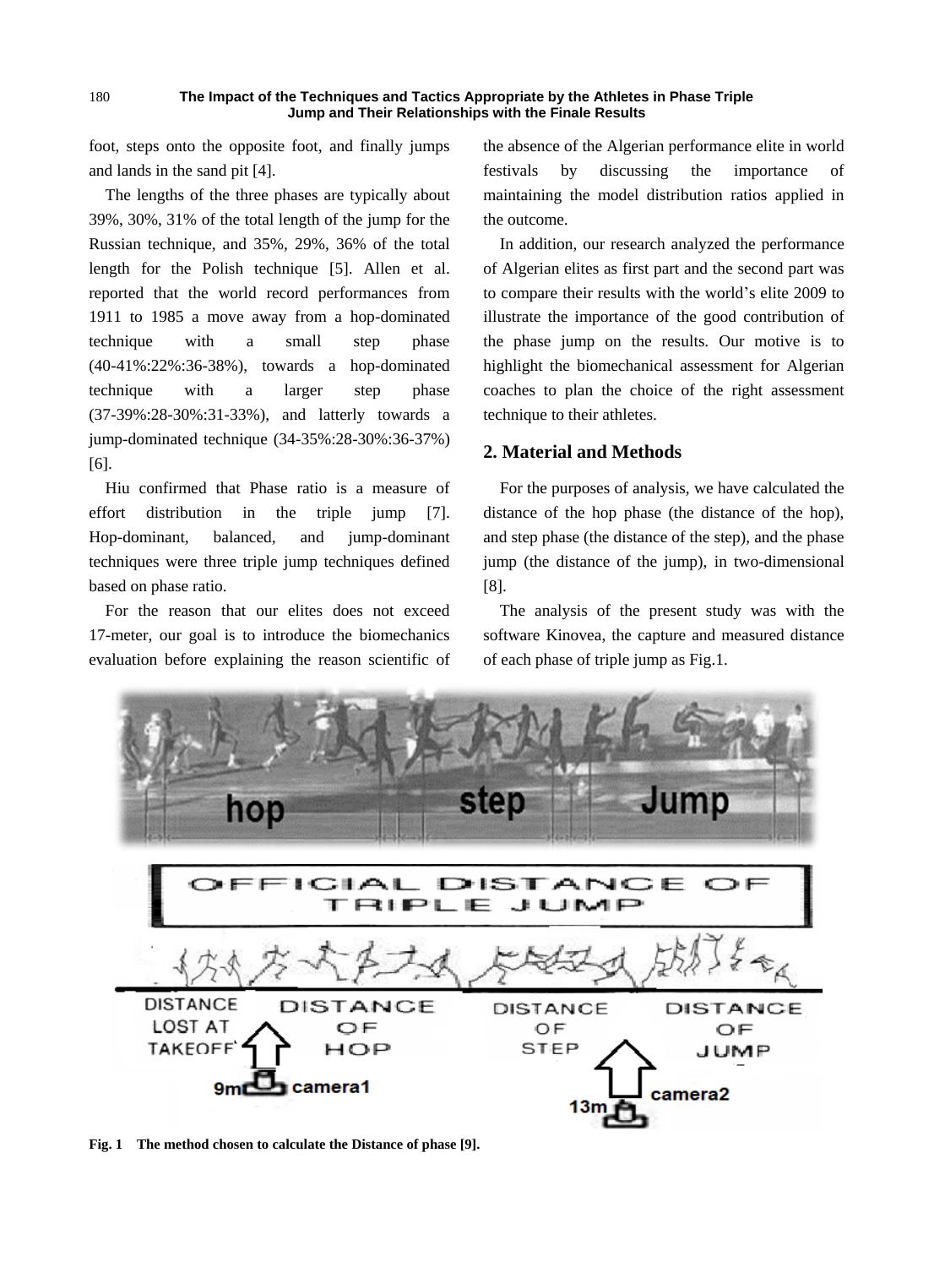foot, steps onto the opposite foot, and finally jumps and lands in the sand pit [4].

180

The lengths of the three phases are typically about 39%, 30%, 31% of the total length of the jump for the Russian technique, and 35%, 29%, 36% of the total length for the Polish technique [5]. Allen et al. reported that the world record performances from 1911 to 1985 a move away from a hop-dominated technique with a small step phase (40-41%:22%:36-38%), towards a hop-dominated technique with a larger step phase (37-39%:28-30%:31-33%), and latterly towards a jump-dominated technique (34-35%:28-30%:36-37%) [6].

Hiu confirmed that Phase ratio is a measure of effort distribution in the triple jump [7]. Hop-dominant, balanced, and jump-dominant techniques were three triple jump techniques defined based on phase ratio.

For the reason that our elites does not exceed 17-meter, our goal is to introduce the biomechanics evaluation before explaining the reason scientific of the absence of the Algerian performance elite in world festivals by discussing the importance of maintaining the model distribution ratios applied in the outcome.

In addition, our research analyzed the performance of Algerian elites as first part and the second part was to compare their results with the world's elite 2009 to illustrate the importance of the good contribution of the phase jump on the results. Our motive is to highlight the biomechanical assessment for Algerian coaches to plan the choice of the right assessment technique to their athletes.

#### **2. Material and Methods**

For the purposes of analysis, we have calculated the distance of the hop phase (the distance of the hop), and step phase (the distance of the step), and the phase jump (the distance of the jump), in two-dimensional [8].

The analysis of the present study was with the software Kinovea, the capture and measured distance of each phase of triple jump as Fig.1.



**Fig. 1 The method chosen to calculate the Distance of phase [9].**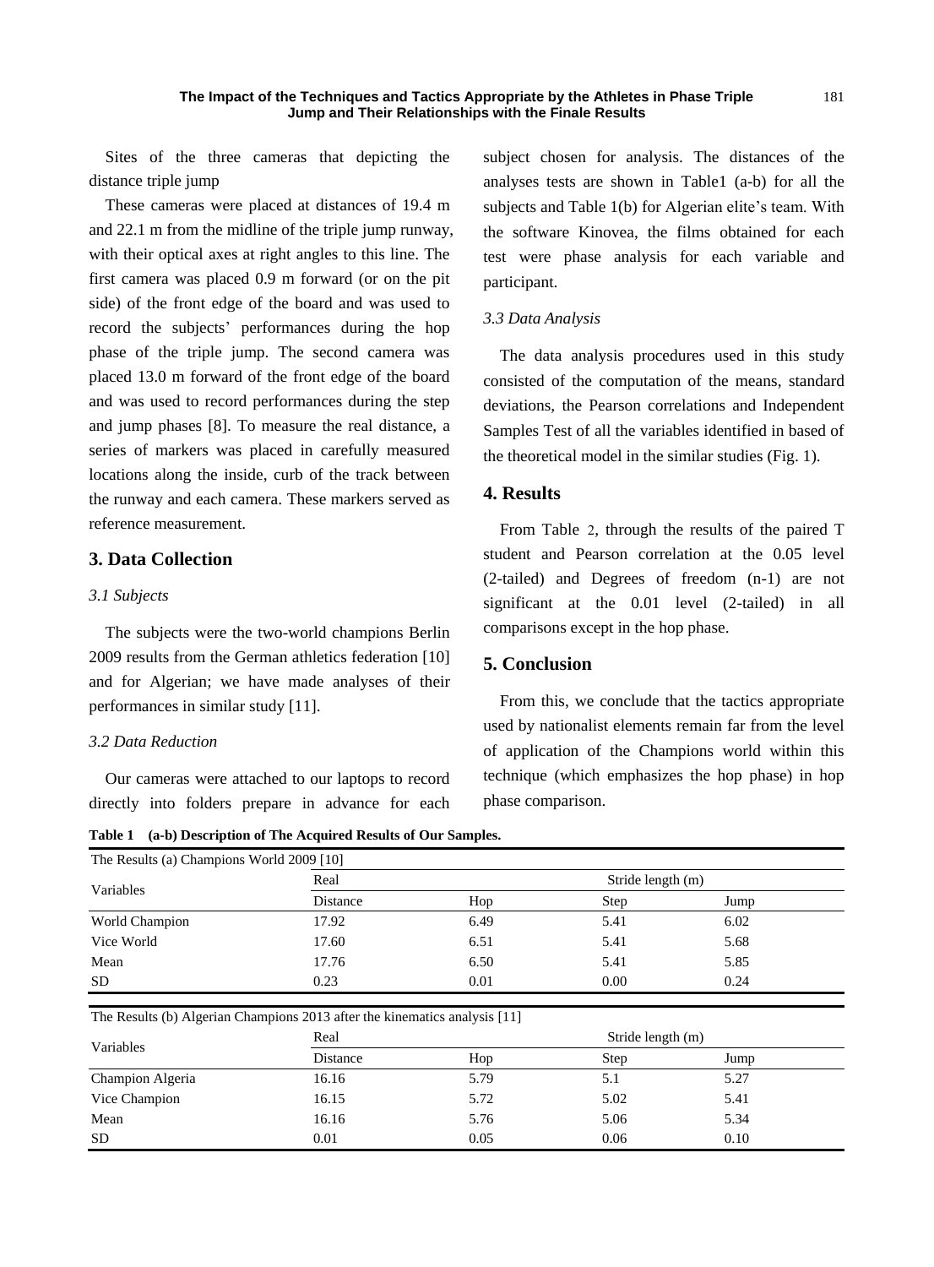Sites of the three cameras that depicting the distance triple jump

These cameras were placed at distances of 19.4 m and 22.1 m from the midline of the triple jump runway, with their optical axes at right angles to this line. The first camera was placed 0.9 m forward (or on the pit side) of the front edge of the board and was used to record the subjects' performances during the hop phase of the triple jump. The second camera was placed 13.0 m forward of the front edge of the board and was used to record performances during the step and jump phases [8]. To measure the real distance, a series of markers was placed in carefully measured locations along the inside, curb of the track between the runway and each camera. These markers served as reference measurement.

## **3. Data Collection**

#### *3.1 Subjects*

The subjects were the two-world champions Berlin 2009 results from the German athletics federation [10] and for Algerian; we have made analyses of their performances in similar study [11].

#### *3.2 Data Reduction*

Our cameras were attached to our laptops to record directly into folders prepare in advance for each

**Table 1 (a-b) Description of The Acquired Results of Our Samples.**

The Results (a) Champions World 2009 [10] Variables Real Stride length (m) Distance Hop Step Jump World Champion 17.92 6.49 5.41 6.02 Vice World **17.60** 6.51 5.41 5.68 Mean 17.76 6.50 5.41 5.85 SD 0.23 0.01 0.00 0.24 The Results (b) Algerian Champions 2013 after the kinematics analysis [11] Variables Real Stride length (m) Distance Hop Step Jump Champion Algeria 16.16 5.79 5.1 5.27 Vice Champion 16.15 5.72 5.02 5.41 Mean 16.16 5.76 5.06 5.34  $\text{SD}$  0.01 0.05 0.06 0.10

subject chosen for analysis. The distances of the analyses tests are shown in Table1 (a-b) for all the subjects and Table 1(b) for Algerian elite's team. With the software Kinovea, the films obtained for each test were phase analysis for each variable and participant.

#### *3.3 Data Analysis*

The data analysis procedures used in this study consisted of the computation of the means, standard deviations, the Pearson correlations and Independent Samples Test of all the variables identified in based of the theoretical model in the similar studies (Fig. 1).

#### **4. Results**

From Table 2, through the results of the paired T student and Pearson correlation at the 0.05 level (2-tailed) and Degrees of freedom (n-1) are not significant at the 0.01 level (2-tailed) in all comparisons except in the hop phase.

#### **5. Conclusion**

From this, we conclude that the tactics appropriate used by nationalist elements remain far from the level of application of the Champions world within this technique (which emphasizes the hop phase) in hop phase comparison.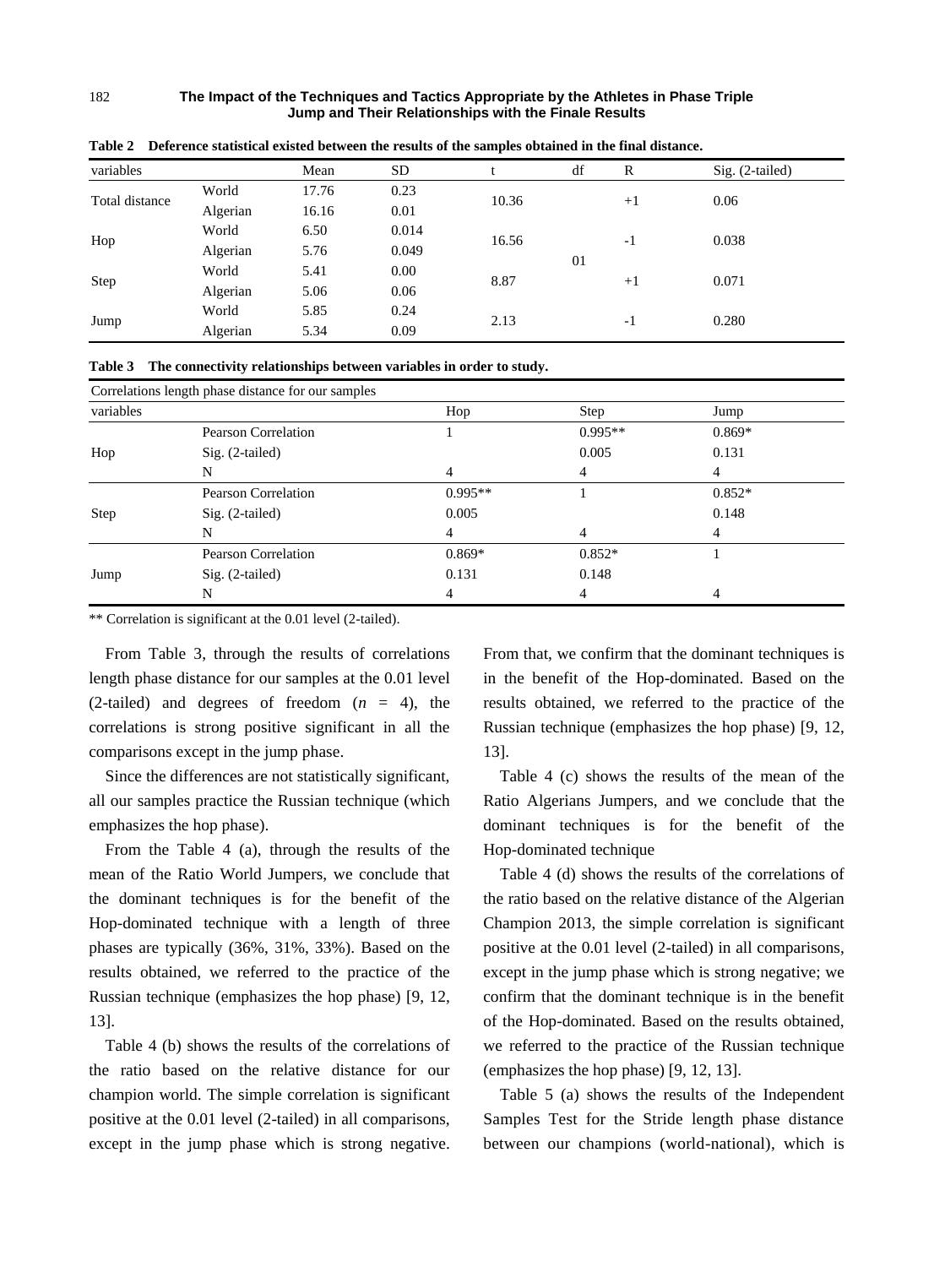| variables      |          | Mean  | <b>SD</b> |       | df | R    | $Sig. (2-tailed)$ |
|----------------|----------|-------|-----------|-------|----|------|-------------------|
| Total distance | World    | 17.76 | 0.23      | 10.36 |    | $+1$ | 0.06              |
|                | Algerian | 16.16 | 0.01      |       |    |      |                   |
| Hop            | World    | 6.50  | 0.014     | 16.56 |    |      |                   |
|                | Algerian | 5.76  | 0.049     |       |    | $-1$ | 0.038             |
|                | World    | 5.41  | 0.00      |       | 01 |      |                   |
| Step           | Algerian | 5.06  | 0.06      | 8.87  |    | $+1$ | 0.071             |
| Jump           | World    | 5.85  | 0.24      |       |    |      |                   |
|                | Algerian | 5.34  | 0.09      | 2.13  |    | $-1$ | 0.280             |
|                |          |       |           |       |    |      |                   |

**Table 2 Deference statistical existed between the results of the samples obtained in the final distance.** 

|  |  |  | Table 3 The connectivity relationships between variables in order to study. |  |
|--|--|--|-----------------------------------------------------------------------------|--|
|--|--|--|-----------------------------------------------------------------------------|--|

|             | Correlations length phase distance for our samples |           |           |          |  |
|-------------|----------------------------------------------------|-----------|-----------|----------|--|
| variables   |                                                    | Hop       | Step      | Jump     |  |
|             | Pearson Correlation                                |           | $0.995**$ | $0.869*$ |  |
| Hop         | $Sig. (2-tailed)$                                  |           | 0.005     | 0.131    |  |
|             | N                                                  |           | 4         |          |  |
|             | Pearson Correlation                                | $0.995**$ |           | $0.852*$ |  |
| <b>Step</b> | $Sig. (2-tailed)$                                  | 0.005     |           | 0.148    |  |
|             | N                                                  |           | 4         |          |  |
|             | <b>Pearson Correlation</b>                         | $0.869*$  | $0.852*$  |          |  |
| Jump        | $Sig. (2-tailed)$                                  | 0.131     | 0.148     |          |  |
|             | N                                                  | 4         |           |          |  |

\*\* Correlation is significant at the 0.01 level (2-tailed).

From Table 3, through the results of correlations length phase distance for our samples at the 0.01 level (2-tailed) and degrees of freedom  $(n = 4)$ , the correlations is strong positive significant in all the comparisons except in the jump phase.

Since the differences are not statistically significant, all our samples practice the Russian technique (which emphasizes the hop phase).

From the Table 4 (a), through the results of the mean of the Ratio World Jumpers, we conclude that the dominant techniques is for the benefit of the Hop-dominated technique with a length of three phases are typically (36%, 31%, 33%). Based on the results obtained, we referred to the practice of the Russian technique (emphasizes the hop phase) [9, 12, 13].

Table 4 (b) shows the results of the correlations of the ratio based on the relative distance for our champion world. The simple correlation is significant positive at the 0.01 level (2-tailed) in all comparisons, except in the jump phase which is strong negative.

From that, we confirm that the dominant techniques is in the benefit of the Hop-dominated. Based on the results obtained, we referred to the practice of the Russian technique (emphasizes the hop phase) [9, 12, 13].

Table 4 (c) shows the results of the mean of the Ratio Algerians Jumpers, and we conclude that the dominant techniques is for the benefit of the Hop-dominated technique

Table 4 (d) shows the results of the correlations of the ratio based on the relative distance of the Algerian Champion 2013, the simple correlation is significant positive at the 0.01 level (2-tailed) in all comparisons, except in the jump phase which is strong negative; we confirm that the dominant technique is in the benefit of the Hop-dominated. Based on the results obtained, we referred to the practice of the Russian technique (emphasizes the hop phase) [9, 12, 13].

Table 5 (a) shows the results of the Independent Samples Test for the Stride length phase distance between our champions (world-national), which is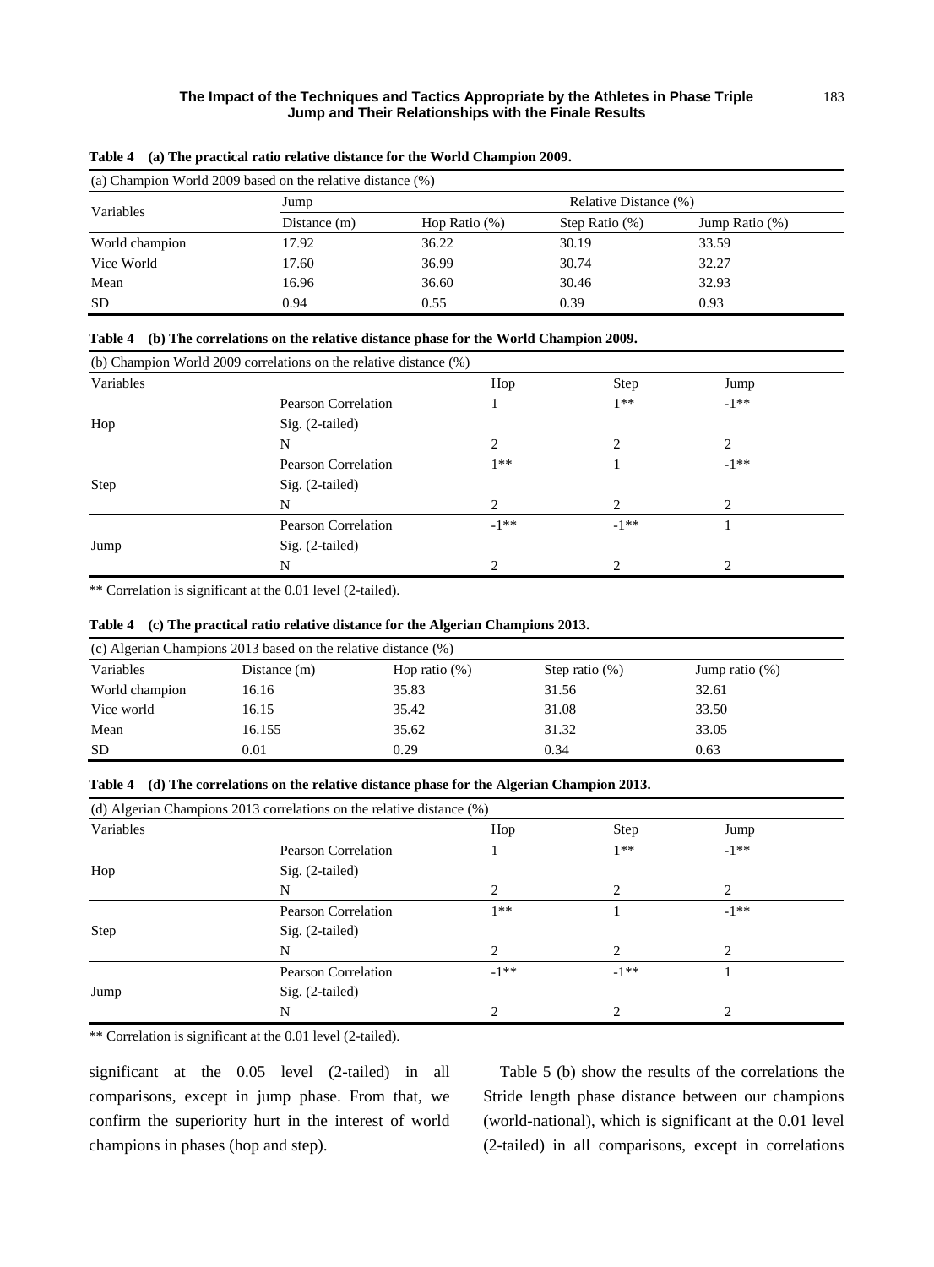| (a) Champion World 2009 based on the relative distance $(\%)$ |                |                  |                       |                   |  |  |
|---------------------------------------------------------------|----------------|------------------|-----------------------|-------------------|--|--|
| Variables                                                     | Jump           |                  | Relative Distance (%) |                   |  |  |
|                                                               | Distance $(m)$ | Hop Ratio $(\%)$ | Step Ratio $(\%)$     | Jump Ratio $(\%)$ |  |  |
| World champion                                                | 17.92          | 36.22            | 30.19                 | 33.59             |  |  |
| Vice World                                                    | 17.60          | 36.99            | 30.74                 | 32.27             |  |  |
| Mean                                                          | 16.96          | 36.60            | 30.46                 | 32.93             |  |  |
| <b>SD</b>                                                     | 0.94           | 0.55             | 0.39                  | 0.93              |  |  |

|  |  |  |  |  | Table 4 (a) The practical ratio relative distance for the World Champion 2009. |
|--|--|--|--|--|--------------------------------------------------------------------------------|
|--|--|--|--|--|--------------------------------------------------------------------------------|

|  | Table 4 (b) The correlations on the relative distance phase for the World Champion 2009. |  |  |  |
|--|------------------------------------------------------------------------------------------|--|--|--|
|--|------------------------------------------------------------------------------------------|--|--|--|

|           | (b) Champion World 2009 correlations on the relative distance (%) |                |        |         |  |
|-----------|-------------------------------------------------------------------|----------------|--------|---------|--|
| Variables |                                                                   | Hop            | Step   | Jump    |  |
|           | <b>Pearson Correlation</b>                                        |                | $1**$  | $-1***$ |  |
| Hop       | $Sig. (2-tailed)$                                                 |                |        |         |  |
|           | N                                                                 | 2              | 2      | 2       |  |
|           | Pearson Correlation                                               | $1**$          |        | $-1***$ |  |
| Step      | $Sig. (2-tailed)$                                                 |                |        |         |  |
|           | N                                                                 | $\overline{c}$ | 2      | ↑       |  |
|           | Pearson Correlation                                               | $-1***$        | $-1**$ |         |  |
| Jump      | Sig. (2-tailed)                                                   |                |        |         |  |
|           | N                                                                 | $\mathfrak{D}$ | ာ      | ↑       |  |

\*\* Correlation is significant at the 0.01 level (2-tailed).

#### **Table 4 (c) The practical ratio relative distance for the Algerian Champions 2013.**

| (c) Algerian Champions 2013 based on the relative distance (%) |              |                  |                   |                   |  |  |  |
|----------------------------------------------------------------|--------------|------------------|-------------------|-------------------|--|--|--|
| Variables                                                      | Distance (m) | Hop ratio $(\%)$ | Step ratio $(\%)$ | Jump ratio $(\%)$ |  |  |  |
| World champion                                                 | 16.16        | 35.83            | 31.56             | 32.61             |  |  |  |
| Vice world                                                     | 16.15        | 35.42            | 31.08             | 33.50             |  |  |  |
| Mean                                                           | 16.155       | 35.62            | 31.32             | 33.05             |  |  |  |
| <b>SD</b>                                                      | 0.01         | 0.29             | 0.34              | 0.63              |  |  |  |

| Table 4 (d) The correlations on the relative distance phase for the Algerian Champion 2013. |  |  |
|---------------------------------------------------------------------------------------------|--|--|
|                                                                                             |  |  |

|           | (d) Algerian Champions 2013 correlations on the relative distance (%) |                |         |         |  |
|-----------|-----------------------------------------------------------------------|----------------|---------|---------|--|
| Variables |                                                                       | Hop            | Step    | Jump    |  |
|           | <b>Pearson Correlation</b>                                            |                | $1**$   | $-1***$ |  |
| Hop       | $Sig. (2-tailed)$                                                     |                |         |         |  |
|           | N                                                                     | 2              | 2       | 2       |  |
|           | <b>Pearson Correlation</b>                                            | $1**$          |         | $-1**$  |  |
| Step      | $Sig. (2-tailed)$                                                     |                |         |         |  |
|           | N                                                                     | $\mathfrak{D}$ | 2       | っ       |  |
|           | Pearson Correlation                                                   | $-1***$        | $-1***$ |         |  |
| Jump      | Sig. (2-tailed)                                                       |                |         |         |  |
|           | N                                                                     | ↑              | 2       | ∍       |  |

\*\* Correlation is significant at the 0.01 level (2-tailed).

significant at the 0.05 level (2-tailed) in all comparisons, except in jump phase. From that, we confirm the superiority hurt in the interest of world champions in phases (hop and step).

Table 5 (b) show the results of the correlations the Stride length phase distance between our champions (world-national), which is significant at the 0.01 level (2-tailed) in all comparisons, except in correlations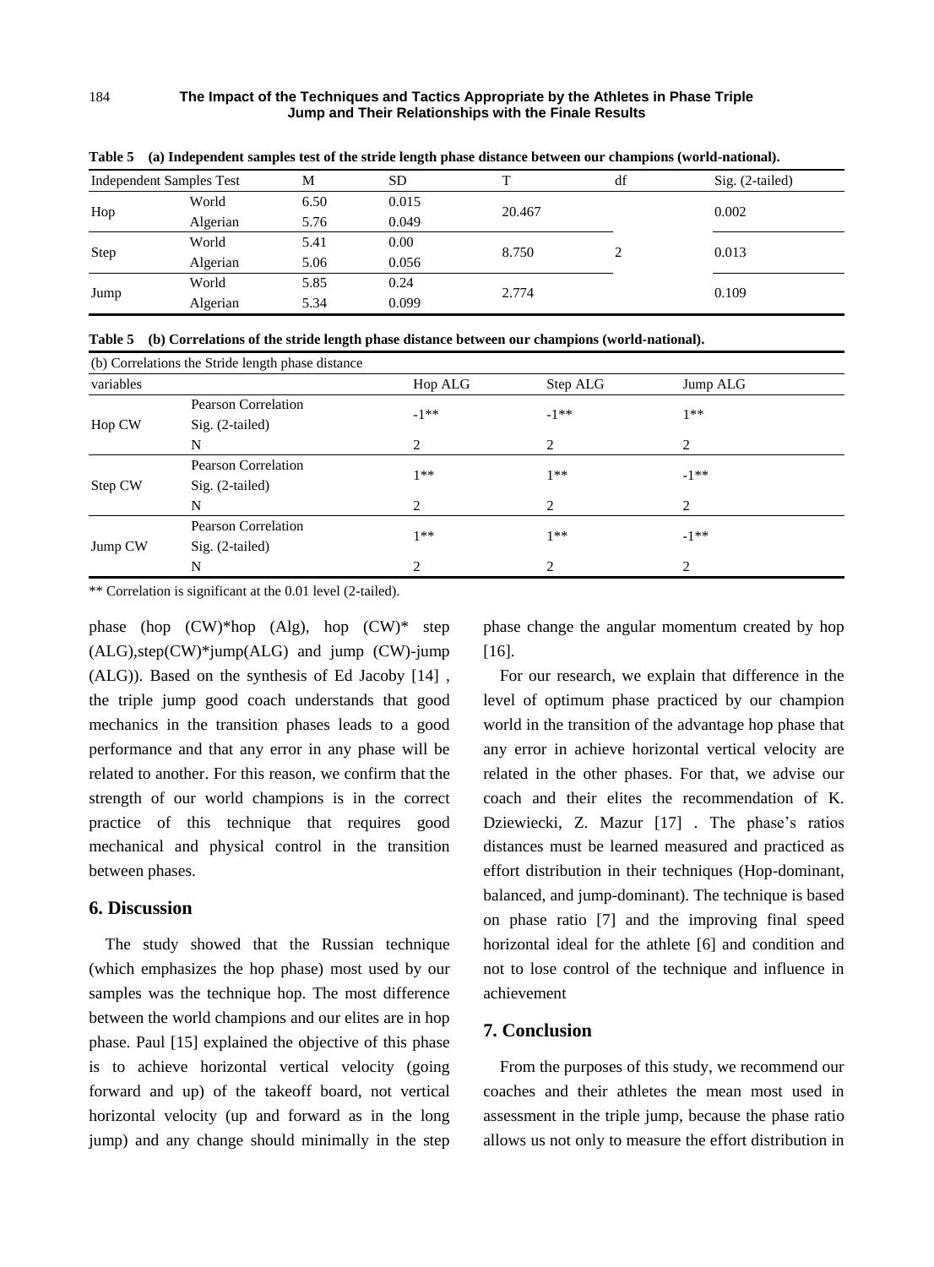|      | <b>Independent Samples Test</b> | М    | <b>SD</b> | m      | df | $Sig. (2-tailed)$ |
|------|---------------------------------|------|-----------|--------|----|-------------------|
|      | World                           | 6.50 | 0.015     | 20.467 |    | 0.002             |
| Hop  | Algerian                        | 5.76 | 0.049     |        |    |                   |
| Step | World                           | 5.41 | 0.00      |        |    |                   |
|      | Algerian                        | 5.06 | 0.056     | 8.750  |    | 0.013             |
|      | World                           | 5.85 | 0.24      |        |    |                   |
| Jump | Algerian                        | 5.34 | 0.099     | 2.774  |    | 0.109             |

**Table 5 (a) Independent samples test of the stride length phase distance between our champions (world-national).**

|  | Table 5 (b) Correlations of the stride length phase distance between our champions (world-national). |  |  |
|--|------------------------------------------------------------------------------------------------------|--|--|
|--|------------------------------------------------------------------------------------------------------|--|--|

|           | (b) Correlations the Stride length phase distance |                |                |                               |  |
|-----------|---------------------------------------------------|----------------|----------------|-------------------------------|--|
| variables |                                                   | Hop ALG        | Step ALG       | Jump ALG                      |  |
| Hop CW    | Pearson Correlation                               | $-1***$        | $-1**$         | $1**$                         |  |
|           | $Sig. (2-tailed)$                                 |                |                |                               |  |
|           | N                                                 | 2              | $\overline{2}$ | 2                             |  |
| Step CW   | Pearson Correlation                               | $1**$          | $1**$          | $-1***$                       |  |
|           | $Sig. (2-tailed)$                                 |                |                |                               |  |
|           | N                                                 | 2              | $\overline{2}$ | $\mathcal{D}_{\mathcal{L}}$   |  |
| Jump CW   | Pearson Correlation                               | $1**$          | $1**$          | $-1***$                       |  |
|           | $Sig. (2-tailed)$                                 |                |                |                               |  |
|           | N                                                 | $\overline{c}$ | $\mathcal{D}$  | $\mathfrak{D}_{\mathfrak{p}}$ |  |

\*\* Correlation is significant at the 0.01 level (2-tailed).

phase (hop (CW)\*hop (Alg), hop (CW)\* step (ALG),step(CW)\*jump(ALG) and jump (CW)-jump (ALG)). Based on the synthesis of Ed Jacoby [14] , the triple jump good coach understands that good mechanics in the transition phases leads to a good performance and that any error in any phase will be related to another. For this reason, we confirm that the strength of our world champions is in the correct practice of this technique that requires good mechanical and physical control in the transition between phases.

#### **6. Discussion**

The study showed that the Russian technique (which emphasizes the hop phase) most used by our samples was the technique hop. The most difference between the world champions and our elites are in hop phase. Paul [15] explained the objective of this phase is to achieve horizontal vertical velocity (going forward and up) of the takeoff board, not vertical horizontal velocity (up and forward as in the long jump) and any change should minimally in the step phase change the angular momentum created by hop [16].

For our research, we explain that difference in the level of optimum phase practiced by our champion world in the transition of the advantage hop phase that any error in achieve horizontal vertical velocity are related in the other phases. For that, we advise our coach and their elites the recommendation of K. Dziewiecki, Z. Mazur [17] . The phase's ratios distances must be learned measured and practiced as effort distribution in their techniques (Hop-dominant, balanced, and jump-dominant). The technique is based on phase ratio [7] and the improving final speed horizontal ideal for the athlete [6] and condition and not to lose control of the technique and influence in achievement

## **7. Conclusion**

From the purposes of this study, we recommend our coaches and their athletes the mean most used in assessment in the triple jump, because the phase ratio allows us not only to measure the effort distribution in